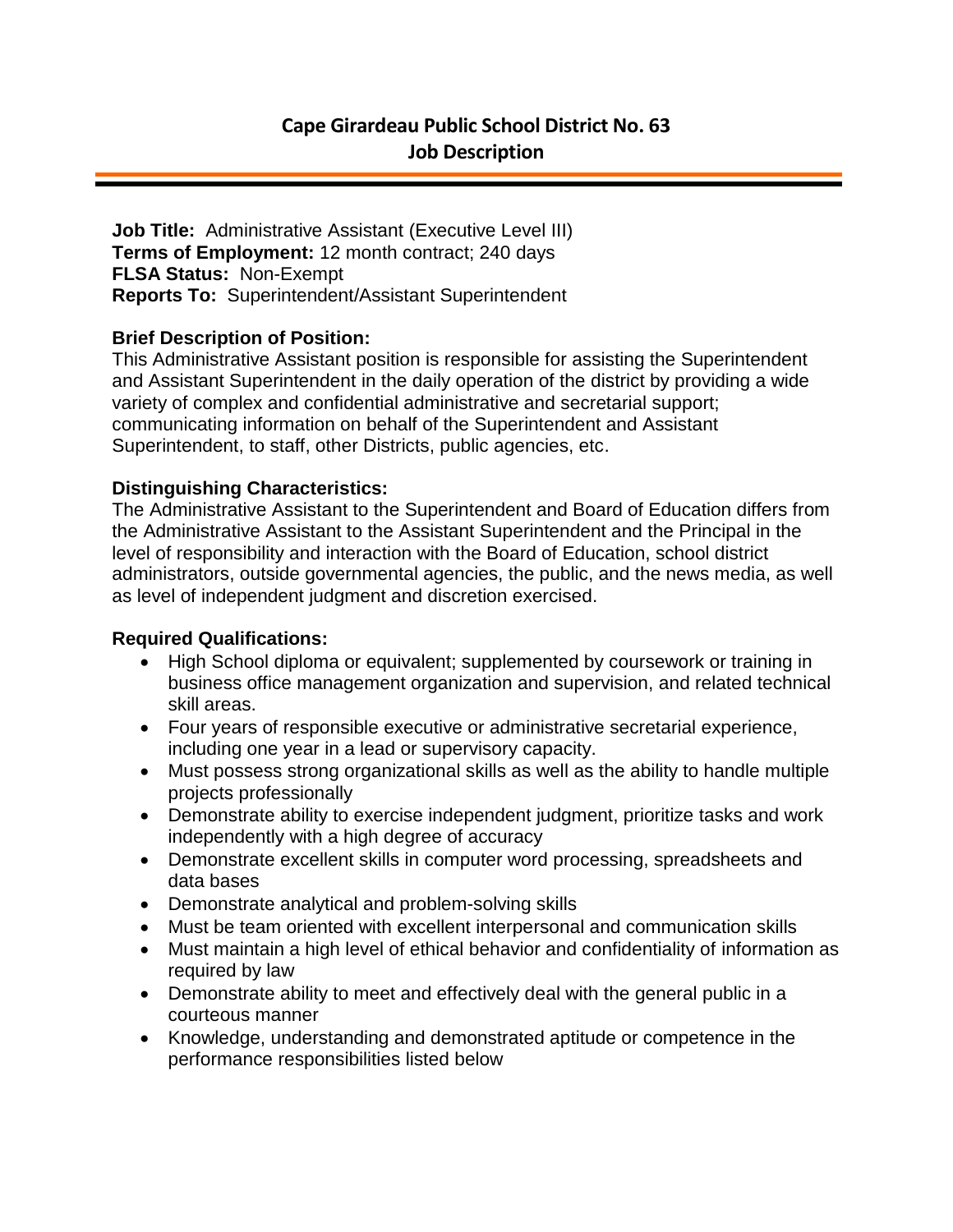**Job Title:** Administrative Assistant (Executive Level III) **Terms of Employment:** 12 month contract; 240 days **FLSA Status:** Non-Exempt **Reports To:** Superintendent/Assistant Superintendent

## **Brief Description of Position:**

This Administrative Assistant position is responsible for assisting the Superintendent and Assistant Superintendent in the daily operation of the district by providing a wide variety of complex and confidential administrative and secretarial support; communicating information on behalf of the Superintendent and Assistant Superintendent, to staff, other Districts, public agencies, etc.

#### **Distinguishing Characteristics:**

The Administrative Assistant to the Superintendent and Board of Education differs from the Administrative Assistant to the Assistant Superintendent and the Principal in the level of responsibility and interaction with the Board of Education, school district administrators, outside governmental agencies, the public, and the news media, as well as level of independent judgment and discretion exercised.

# **Required Qualifications:**

- High School diploma or equivalent; supplemented by coursework or training in business office management organization and supervision, and related technical skill areas.
- Four years of responsible executive or administrative secretarial experience, including one year in a lead or supervisory capacity.
- Must possess strong organizational skills as well as the ability to handle multiple projects professionally
- Demonstrate ability to exercise independent judgment, prioritize tasks and work independently with a high degree of accuracy
- Demonstrate excellent skills in computer word processing, spreadsheets and data bases
- Demonstrate analytical and problem-solving skills
- Must be team oriented with excellent interpersonal and communication skills
- Must maintain a high level of ethical behavior and confidentiality of information as required by law
- Demonstrate ability to meet and effectively deal with the general public in a courteous manner
- Knowledge, understanding and demonstrated aptitude or competence in the performance responsibilities listed below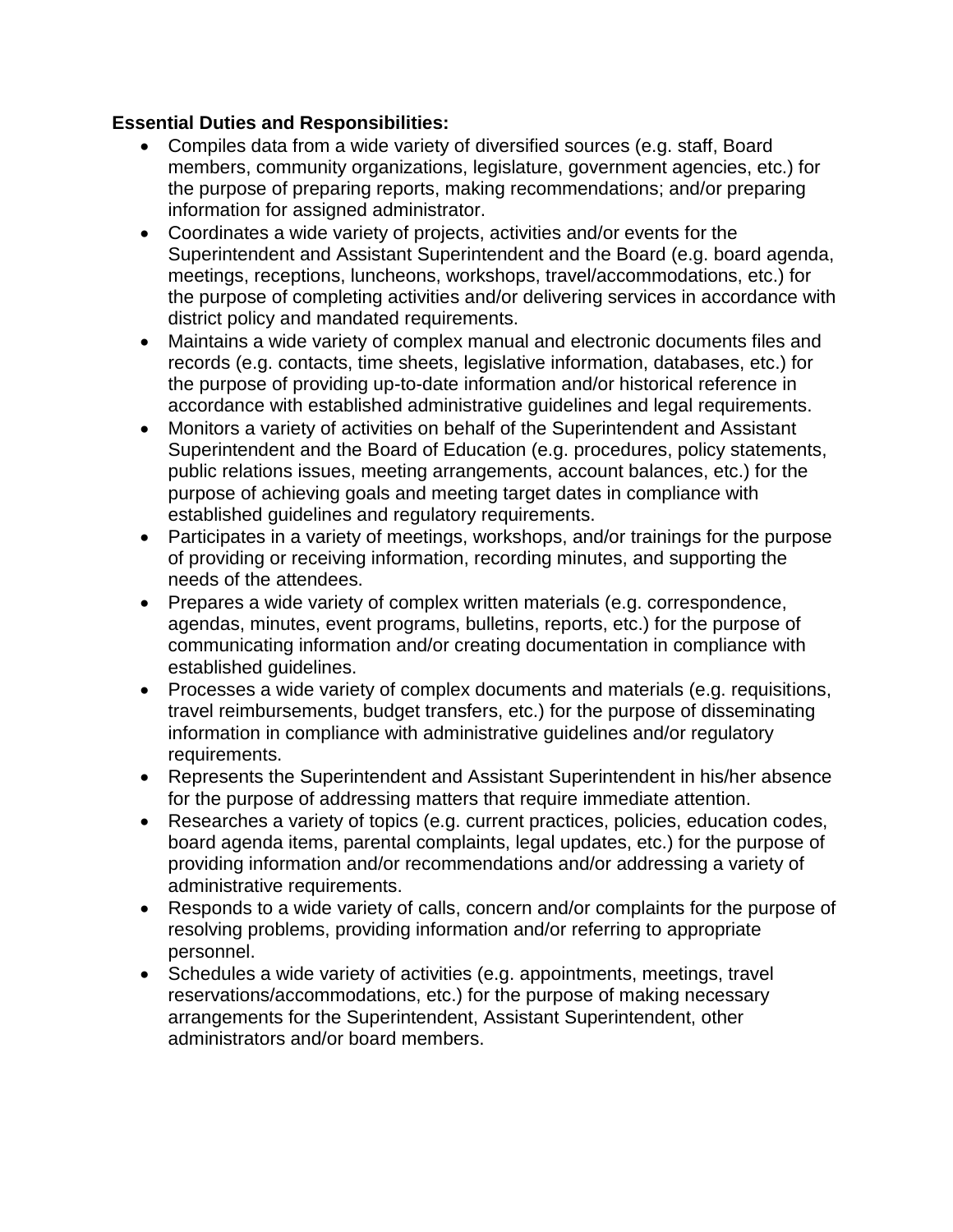## **Essential Duties and Responsibilities:**

- Compiles data from a wide variety of diversified sources (e.g. staff, Board members, community organizations, legislature, government agencies, etc.) for the purpose of preparing reports, making recommendations; and/or preparing information for assigned administrator.
- Coordinates a wide variety of projects, activities and/or events for the Superintendent and Assistant Superintendent and the Board (e.g. board agenda, meetings, receptions, luncheons, workshops, travel/accommodations, etc.) for the purpose of completing activities and/or delivering services in accordance with district policy and mandated requirements.
- Maintains a wide variety of complex manual and electronic documents files and records (e.g. contacts, time sheets, legislative information, databases, etc.) for the purpose of providing up-to-date information and/or historical reference in accordance with established administrative guidelines and legal requirements.
- Monitors a variety of activities on behalf of the Superintendent and Assistant Superintendent and the Board of Education (e.g. procedures, policy statements, public relations issues, meeting arrangements, account balances, etc.) for the purpose of achieving goals and meeting target dates in compliance with established guidelines and regulatory requirements.
- Participates in a variety of meetings, workshops, and/or trainings for the purpose of providing or receiving information, recording minutes, and supporting the needs of the attendees.
- Prepares a wide variety of complex written materials (e.g. correspondence, agendas, minutes, event programs, bulletins, reports, etc.) for the purpose of communicating information and/or creating documentation in compliance with established guidelines.
- Processes a wide variety of complex documents and materials (e.g. requisitions, travel reimbursements, budget transfers, etc.) for the purpose of disseminating information in compliance with administrative guidelines and/or regulatory requirements.
- Represents the Superintendent and Assistant Superintendent in his/her absence for the purpose of addressing matters that require immediate attention.
- Researches a variety of topics (e.g. current practices, policies, education codes, board agenda items, parental complaints, legal updates, etc.) for the purpose of providing information and/or recommendations and/or addressing a variety of administrative requirements.
- Responds to a wide variety of calls, concern and/or complaints for the purpose of resolving problems, providing information and/or referring to appropriate personnel.
- Schedules a wide variety of activities (e.g. appointments, meetings, travel reservations/accommodations, etc.) for the purpose of making necessary arrangements for the Superintendent, Assistant Superintendent, other administrators and/or board members.